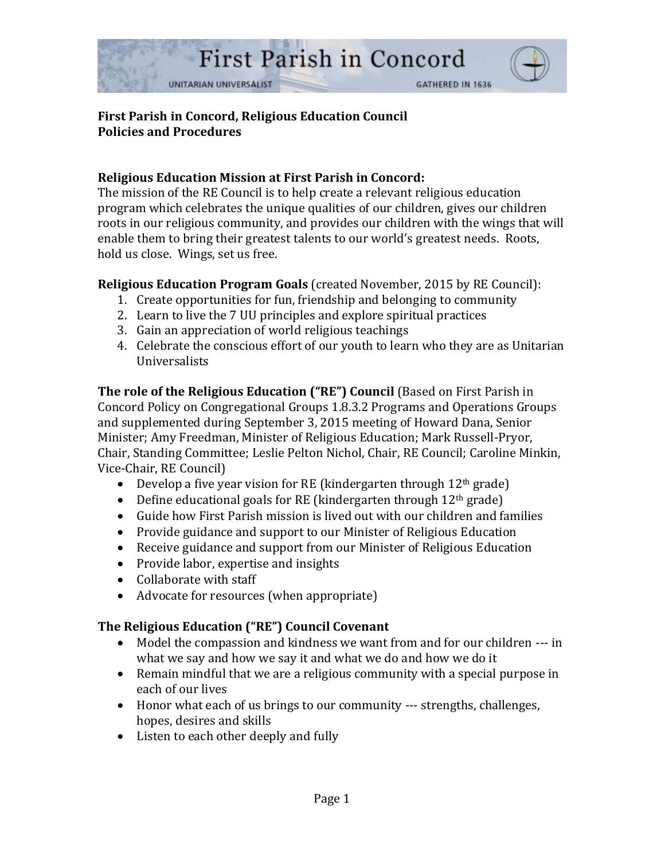

## **First Parish in Concord, Religious Education Council Policies and Procedures**

## **Religious Education Mission at First Parish in Concord:**

The mission of the RE Council is to help create a relevant religious education program which celebrates the unique qualities of our children, gives our children roots in our religious community, and provides our children with the wings that will enable them to bring their greatest talents to our world's greatest needs. Roots, hold us close. Wings, set us free.

### **Religious Education Program Goals** (created November, 2015 by RE Council):

- 1. Create opportunities for fun, friendship and belonging to community
- 2. Learn to live the 7 UU principles and explore spiritual practices
- 3. Gain an appreciation of world religious teachings
- 4. Celebrate the conscious effort of our youth to learn who they are as Unitarian Universalists

**The role of the Religious Education ("RE") Council** (Based on First Parish in Concord Policy on Congregational Groups 1.8.3.2 Programs and Operations Groups and supplemented during September 3, 2015 meeting of Howard Dana, Senior Minister; Amy Freedman, Minister of Religious Education; Mark Russell-Pryor, Chair, Standing Committee; Leslie Pelton Nichol, Chair, RE Council; Caroline Minkin, Vice-Chair, RE Council)

- Develop a five year vision for RE (kindergarten through  $12<sup>th</sup>$  grade)
- Define educational goals for RE (kindergarten through  $12<sup>th</sup>$  grade)
- Guide how First Parish mission is lived out with our children and families
- Provide guidance and support to our Minister of Religious Education
- Receive guidance and support from our Minister of Religious Education
- Provide labor, expertise and insights
- Collaborate with staff
- Advocate for resources (when appropriate)

### **The Religious Education ("RE") Council Covenant**

- Model the compassion and kindness we want from and for our children --- in what we say and how we say it and what we do and how we do it
- Remain mindful that we are a religious community with a special purpose in each of our lives
- Honor what each of us brings to our community --- strengths, challenges, hopes, desires and skills
- Listen to each other deeply and fully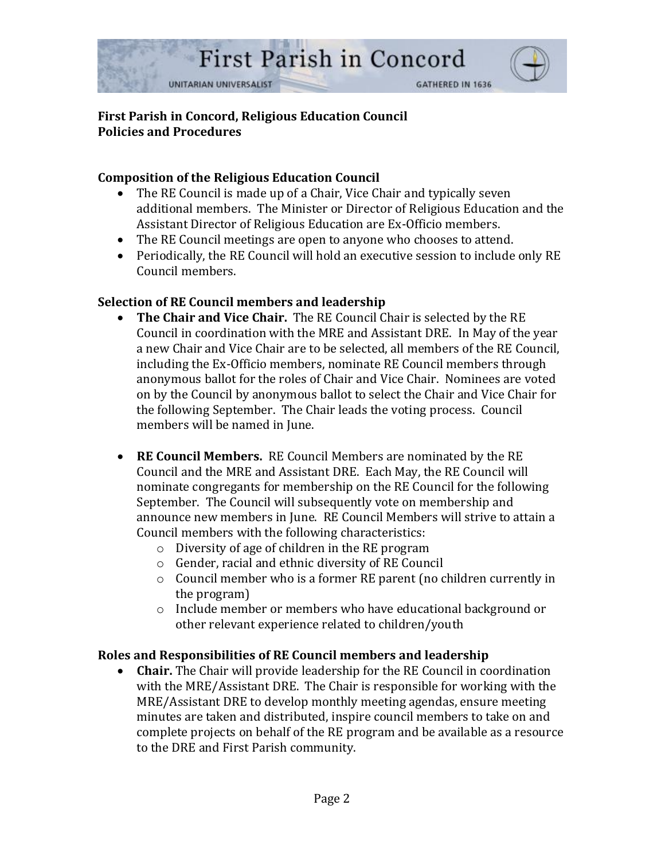

## **First Parish in Concord, Religious Education Council Policies and Procedures**

## **Composition of the Religious Education Council**

- The RE Council is made up of a Chair, Vice Chair and typically seven additional members. The Minister or Director of Religious Education and the Assistant Director of Religious Education are Ex-Officio members.
- The RE Council meetings are open to anyone who chooses to attend.
- Periodically, the RE Council will hold an executive session to include only RE Council members.

# **Selection of RE Council members and leadership**

- **The Chair and Vice Chair.** The RE Council Chair is selected by the RE Council in coordination with the MRE and Assistant DRE. In May of the year a new Chair and Vice Chair are to be selected, all members of the RE Council, including the Ex-Officio members, nominate RE Council members through anonymous ballot for the roles of Chair and Vice Chair. Nominees are voted on by the Council by anonymous ballot to select the Chair and Vice Chair for the following September. The Chair leads the voting process. Council members will be named in June.
- **RE Council Members.** RE Council Members are nominated by the RE Council and the MRE and Assistant DRE. Each May, the RE Council will nominate congregants for membership on the RE Council for the following September. The Council will subsequently vote on membership and announce new members in June. RE Council Members will strive to attain a Council members with the following characteristics:
	- o Diversity of age of children in the RE program
	- o Gender, racial and ethnic diversity of RE Council
	- o Council member who is a former RE parent (no children currently in the program)
	- o Include member or members who have educational background or other relevant experience related to children/youth

### **Roles and Responsibilities of RE Council members and leadership**

• **Chair.** The Chair will provide leadership for the RE Council in coordination with the MRE/Assistant DRE. The Chair is responsible for working with the MRE/Assistant DRE to develop monthly meeting agendas, ensure meeting minutes are taken and distributed, inspire council members to take on and complete projects on behalf of the RE program and be available as a resource to the DRE and First Parish community.